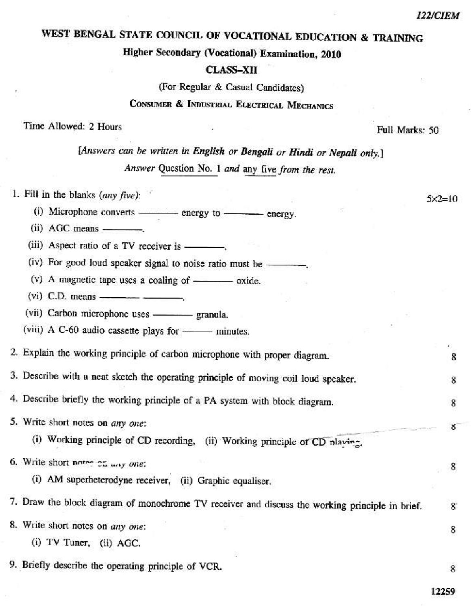$5 \times 2 = 10$ 

8

8

8

# WEST BENGAL STATE COUNCIL OF VOCATIONAL EDUCATION & TRAINING

Higher Secondary (Vocational) Examination, 2010

#### **CLASS-XII**

(For Regular & Casual Candidates)

### CONSUMER & INDUSTRIAL ELECTRICAL MECHANICS

Time Allowed: 2 Hours

Full Marks: 50

[Answers can be written in English or Bengali or Hindi or Nepali only.] Answer Question No. 1 and any five from the rest.

1. Fill in the blanks  $(any five)$ :

- (i) Microphone converts ————— energy to ——— energy.
- $(ii)$  AGC means —
- (iii) Aspect ratio of a TV receiver is —————

(iv) For good loud speaker signal to noise ratio must be -

- (v) A magnetic tape uses a coaling of  $\frac{\ }{\ }$  oxide.
- 
- (vii) Carbon microphone uses granula.

(viii) A C-60 audio cassette plays for ---- minutes.

2. Explain the working principle of carbon microphone with proper diagram.

3. Describe with a neat sketch the operating principle of moving coil loud speaker.

4. Describe briefly the working principle of a PA system with block diagram.

|  | 5. Write short notes on any one:<br>Nowaka, Chicago and State and Chicago                       |   |
|--|-------------------------------------------------------------------------------------------------|---|
|  | (i) Working principle of CD recording,<br>(ii) Working principle of CD nlaving.                 |   |
|  | 6. Write short notes ch way one:                                                                |   |
|  | (i) AM superheterodyne receiver, (ii) Graphic equaliser.                                        |   |
|  | 7. Draw the block diagram of monochrome TV receiver and discuss the working principle in brief. | 8 |
|  | 8. Write short notes on any one:                                                                |   |

- (i) TV Tuner, (ii) AGC.
- 9. Briefly describe the operating principle of VCR.

12259

8